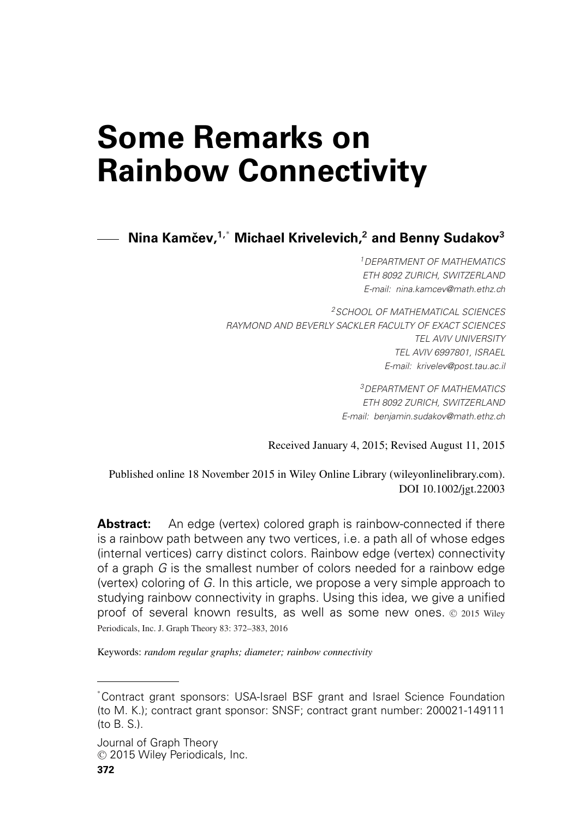# **Some Remarks on Rainbow Connectivity**

**Nina Kamcev, ˇ 1,**<sup>∗</sup> **Michael Krivelevich,2 and Benny Sudakov<sup>3</sup>**

*1DEPARTMENT OF MATHEMATICS ETH 8092 ZURICH, SWITZERLAND E-mail: [nina.kamcev@math.ethz.ch](mailto:nina.kamcev@math.ethz.ch)*

*2SCHOOL OF MATHEMATICAL SCIENCES RAYMOND AND BEVERLY SACKLER FACULTY OF EXACT SCIENCES TEL AVIV UNIVERSITY TEL AVIV 6997801, ISRAEL E-mail: [krivelev@post.tau.ac.il](mailto:krivelev@post.tau.ac.il)*

> *3DEPARTMENT OF MATHEMATICS ETH 8092 ZURICH, SWITZERLAND E-mail: [benjamin.sudakov@math.ethz.ch](mailto:benjamin.sudakov@math.ethz.ch)*

Received January 4, 2015; Revised August 11, 2015

Published online 18 November 2015 in Wiley Online Library (wileyonlinelibrary.com). DOI 10.1002/jgt.22003

**Abstract:** An edge (vertex) colored graph is rainbow-connected if there is a rainbow path between any two vertices, i.e. a path all of whose edges (internal vertices) carry distinct colors. Rainbow edge (vertex) connectivity of a graph *G* is the smallest number of colors needed for a rainbow edge (vertex) coloring of *G*. In this article, we propose a very simple approach to studying rainbow connectivity in graphs. Using this idea, we give a unified proof of several known results, as well as some new ones.  $\odot$  2015 Wiley Periodicals, Inc. J. Graph Theory 83: 372–383, 2016

Keywords: *random regular graphs; diameter; rainbow connectivity*

<sup>∗</sup> Contract grant sponsors: USA-Israel BSF grant and Israel Science Foundation (to M. K.); contract grant sponsor: SNSF; contract grant number: 200021-149111 (to B. S.).

Journal of Graph Theory <sup>C</sup> 2015 Wiley Periodicals, Inc.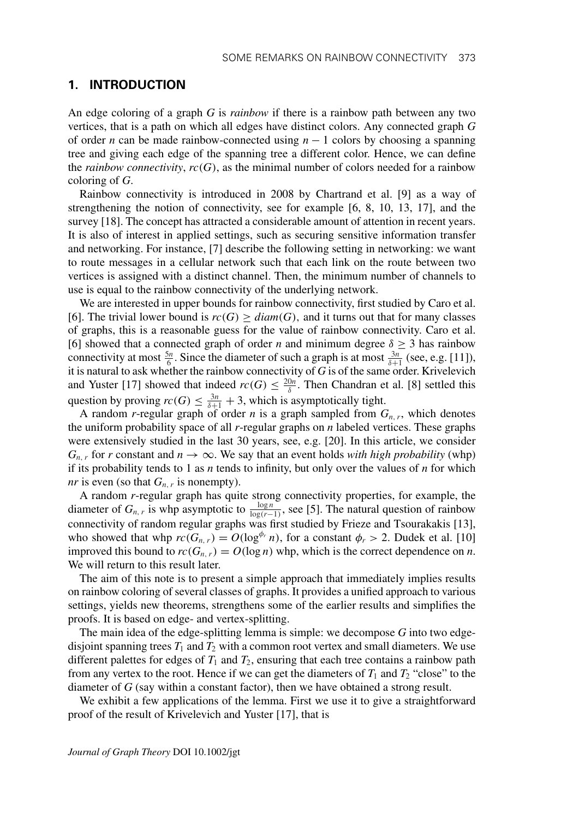# **1. INTRODUCTION**

An edge coloring of a graph *G* is *rainbow* if there is a rainbow path between any two vertices, that is a path on which all edges have distinct colors. Any connected graph *G* of order *n* can be made rainbow-connected using  $n - 1$  colors by choosing a spanning tree and giving each edge of the spanning tree a different color. Hence, we can define the *rainbow connectivity*,  $rc(G)$ , as the minimal number of colors needed for a rainbow coloring of *G*.

Rainbow connectivity is introduced in 2008 by Chartrand et al. [9] as a way of strengthening the notion of connectivity, see for example [6, 8, 10, 13, 17], and the survey [18]. The concept has attracted a considerable amount of attention in recent years. It is also of interest in applied settings, such as securing sensitive information transfer and networking. For instance, [7] describe the following setting in networking: we want to route messages in a cellular network such that each link on the route between two vertices is assigned with a distinct channel. Then, the minimum number of channels to use is equal to the rainbow connectivity of the underlying network.

We are interested in upper bounds for rainbow connectivity, first studied by Caro et al. [6]. The trivial lower bound is  $rc(G) \geq diam(G)$ , and it turns out that for many classes of graphs, this is a reasonable guess for the value of rainbow connectivity. Caro et al. [6] showed that a connected graph of order *n* and minimum degree  $\delta \geq 3$  has rainbow connectivity at most  $\frac{5n}{6}$ . Since the diameter of such a graph is at most  $\frac{3n}{\delta+1}$  (see, e.g. [11]), it is natural to ask whether the rainbow connectivity of *G* is of the same order. Krivelevich and Yuster [17] showed that indeed  $rc(G) \leq \frac{20n}{\delta}$ . Then Chandran et al. [8] settled this question by proving  $rc(G) \leq \frac{3n}{\delta+1} + 3$ , which is asymptotically tight.

A random *r*-regular graph of order *n* is a graph sampled from  $G_{n,r}$ , which denotes the uniform probability space of all *r*-regular graphs on *n* labeled vertices. These graphs were extensively studied in the last 30 years, see, e.g. [20]. In this article, we consider  $G_{n,r}$  for *r* constant and  $n \to \infty$ . We say that an event holds *with high probability* (whp) if its probability tends to 1 as  $n$  tends to infinity, but only over the values of  $n$  for which *nr* is even (so that  $G_{n,r}$  is nonempty).

A random *r*-regular graph has quite strong connectivity properties, for example, the diameter of  $G_{n,r}$  is whp asymptotic to  $\frac{\log n}{\log(r-1)}$ , see [5]. The natural question of rainbow connectivity of random regular graphs was first studied by Frieze and Tsourakakis [13], who showed that whp  $rc(G_{n,r}) = O(\log^{\phi_r} n)$ , for a constant  $\phi_r > 2$ . Dudek et al. [10] improved this bound to  $rc(G_{n,r}) = O(\log n)$  whp, which is the correct dependence on *n*. We will return to this result later.

The aim of this note is to present a simple approach that immediately implies results on rainbow coloring of several classes of graphs. It provides a unified approach to various settings, yields new theorems, strengthens some of the earlier results and simplifies the proofs. It is based on edge- and vertex-splitting.

The main idea of the edge-splitting lemma is simple: we decompose *G* into two edgedisjoint spanning trees  $T_1$  and  $T_2$  with a common root vertex and small diameters. We use different palettes for edges of  $T_1$  and  $T_2$ , ensuring that each tree contains a rainbow path from any vertex to the root. Hence if we can get the diameters of  $T_1$  and  $T_2$  "close" to the diameter of *G* (say within a constant factor), then we have obtained a strong result.

We exhibit a few applications of the lemma. First we use it to give a straightforward proof of the result of Krivelevich and Yuster [17], that is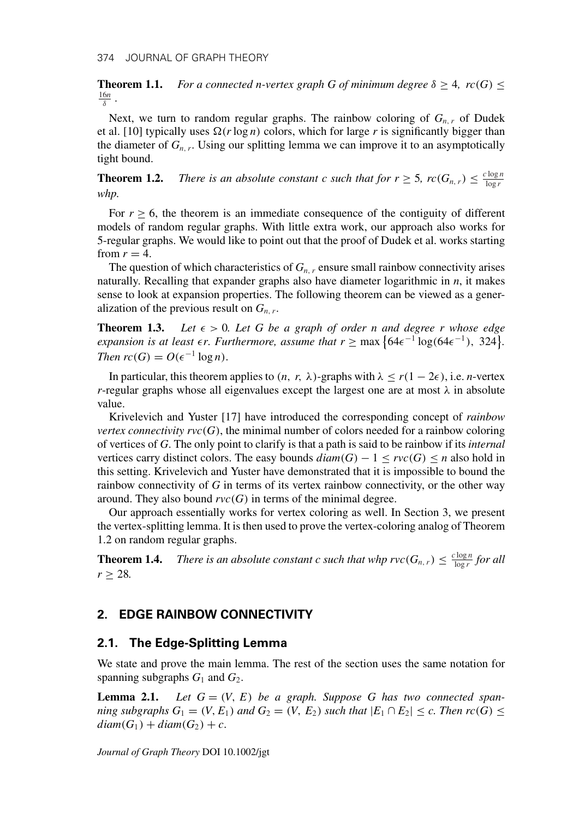**Theorem 1.1.** *For a connected n-vertex graph G of minimum degree*  $\delta \geq 4$ *, rc*(*G*)  $\leq$ 16*n* <sup>δ</sup> *.*

Next, we turn to random regular graphs. The rainbow coloring of  $G_{n,r}$  of Dudek et al. [10] typically uses  $\Omega(r \log n)$  colors, which for large r is significantly bigger than the diameter of  $G_{n,r}$ . Using our splitting lemma we can improve it to an asymptotically tight bound.

**Theorem 1.2.** *There is an absolute constant c such that for*  $r \geq 5$ *,*  $rc(G_{n,r}) \leq \frac{c \log n}{\log r}$ *whp.*

For  $r \geq 6$ , the theorem is an immediate consequence of the contiguity of different models of random regular graphs. With little extra work, our approach also works for 5-regular graphs. We would like to point out that the proof of Dudek et al. works starting from  $r = 4$ .

The question of which characteristics of  $G_{n,r}$  ensure small rainbow connectivity arises naturally. Recalling that expander graphs also have diameter logarithmic in *n*, it makes sense to look at expansion properties. The following theorem can be viewed as a generalization of the previous result on  $G_{n,r}$ .

**Theorem 1.3.** *Let*  $\epsilon > 0$ *. Let* G be a graph of order n and degree r whose edge *expansion is at least*  $\epsilon r$ . Furthermore, assume that  $r \ge \max\{64\epsilon^{-1}\log(64\epsilon^{-1})$ , 324. *Then*  $rc(G) = O(\epsilon^{-1} \log n)$ .

In particular, this theorem applies to  $(n, r, \lambda)$ -graphs with  $\lambda \le r(1 - 2\epsilon)$ , i.e. *n*-vertex *r*-regular graphs whose all eigenvalues except the largest one are at most  $\lambda$  in absolute value.

Krivelevich and Yuster [17] have introduced the corresponding concept of *rainbow vertex connectivity*  $rvc(G)$ *, the minimal number of colors needed for a rainbow coloring* of vertices of *G*. The only point to clarify is that a path is said to be rainbow if its *internal* vertices carry distinct colors. The easy bounds  $diam(G) - 1 \leq rvc(G) \leq n$  also hold in this setting. Krivelevich and Yuster have demonstrated that it is impossible to bound the rainbow connectivity of *G* in terms of its vertex rainbow connectivity, or the other way around. They also bound  $rvc(G)$  in terms of the minimal degree.

Our approach essentially works for vertex coloring as well. In Section 3, we present the vertex-splitting lemma. It is then used to prove the vertex-coloring analog of Theorem 1.2 on random regular graphs.

**Theorem 1.4.** *There is an absolute constant c such that whp*  $rvc(G_{n,r}) \leq \frac{c \log n}{\log r}$  *for all*  $r \geq 28$ .

# **2. EDGE RAINBOW CONNECTIVITY**

## **2.1. The Edge-Splitting Lemma**

We state and prove the main lemma. The rest of the section uses the same notation for spanning subgraphs  $G_1$  and  $G_2$ .

**Lemma 2.1.** Let  $G = (V, E)$  be a graph. Suppose G has two connected span*ning subgraphs*  $G_1 = (V, E_1)$  *and*  $G_2 = (V, E_2)$  *such that*  $|E_1 \cap E_2| \leq c$ . Then  $rc(G) \leq$  $diam(G_1) + diam(G_2) + c$ .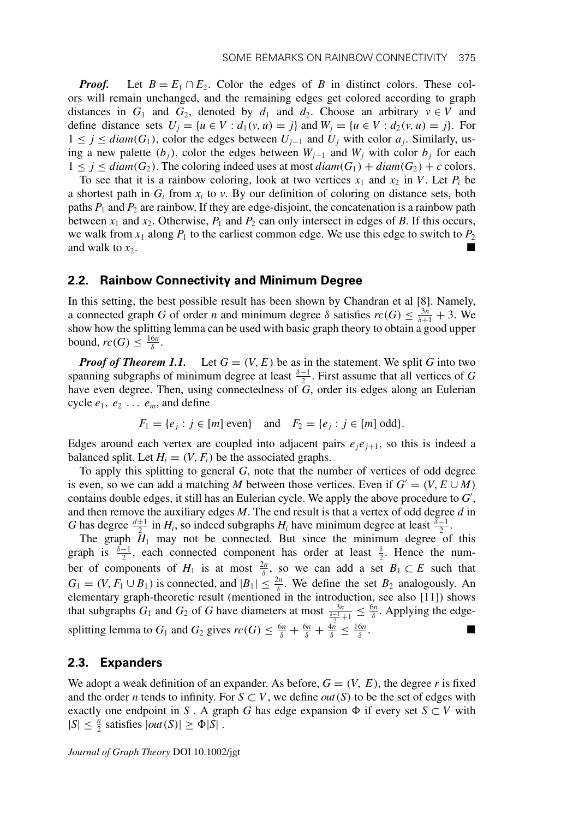*Proof.* Let  $B = E_1 \cap E_2$ . Color the edges of *B* in distinct colors. These colors will remain unchanged, and the remaining edges get colored according to graph distances in  $G_1$  and  $G_2$ , denoted by  $d_1$  and  $d_2$ . Choose an arbitrary  $v \in V$  and define distance sets  $U_j = \{u \in V : d_1(v, u) = j\}$  and  $W_j = \{u \in V : d_2(v, u) = j\}$ . For 1 ≤ *j* ≤ *diam*(*G*<sup>1</sup> ), color the edges between *Uj*<sup>−</sup><sup>1</sup> and *Uj* with color *aj*. Similarly, using a new palette  $(b_j)$ , color the edges between  $W_{j-1}$  and  $W_j$  with color  $b_j$  for each  $1 \leq j \leq diam(G_2)$ . The coloring indeed uses at most  $diam(G_1) + diam(G_2) + c$  colors.

To see that it is a rainbow coloring, look at two vertices  $x_1$  and  $x_2$  in *V*. Let  $P_i$  be a shortest path in  $G_i$  from  $x_i$  to  $v$ . By our definition of coloring on distance sets, both paths *P*<sup>1</sup> and *P*<sup>2</sup> are rainbow. If they are edge-disjoint, the concatenation is a rainbow path between  $x_1$  and  $x_2$ . Otherwise,  $P_1$  and  $P_2$  can only intersect in edges of *B*. If this occurs, we walk from  $x_1$  along  $P_1$  to the earliest common edge. We use this edge to switch to  $P_2$ and walk to  $x_2$ .

## **2.2. Rainbow Connectivity and Minimum Degree**

In this setting, the best possible result has been shown by Chandran et al [8]. Namely, a connected graph *G* of order *n* and minimum degree  $\delta$  satisfies  $rc(G) \leq \frac{3n}{\delta+1} + 3$ . We show how the splitting lemma can be used with basic graph theory to obtain a good upper bound,  $rc(G) \leq \frac{16n}{\delta}$ .

*Proof of Theorem 1.1.* Let  $G = (V, E)$  be as in the statement. We split G into two spanning subgraphs of minimum degree at least  $\frac{\delta-1}{2}$ . First assume that all vertices of *G* have even degree. Then, using connectedness of *G*, order its edges along an Eulerian cycle  $e_1, e_2, \ldots, e_m$ , and define

$$
F_1 = \{e_j : j \in [m] \text{ even}\}\
$$
 and  $F_2 = \{e_j : j \in [m] \text{ odd}\}.$ 

Edges around each vertex are coupled into adjacent pairs  $e_j e_{j+1}$ , so this is indeed a balanced split. Let  $H_i = (V, F_i)$  be the associated graphs.

To apply this splitting to general *G*, note that the number of vertices of odd degree is even, so we can add a matching *M* between those vertices. Even if  $G' = (V, E \cup M)$ contains double edges, it still has an Eulerian cycle. We apply the above procedure to *G* , and then remove the auxiliary edges *M*. The end result is that a vertex of odd degree *d* in *G* has degree  $\frac{d\pm1}{2}$  in *H<sub>i</sub>*, so indeed subgraphs *H<sub>i</sub>* have minimum degree at least  $\frac{\delta-1}{2}$ .

The graph  $H_1$  may not be connected. But since the minimum degree of this graph is  $\frac{\delta-1}{2}$ , each connected component has order at least  $\frac{\delta}{2}$ . Hence the number of components of  $H_1$  is at most  $\frac{2n}{\delta}$ , so we can add a set  $B_1 \subset E$  such that  $G_1 = (V, F_1 \cup B_1)$  is connected, and  $|B_1| \leq \frac{2n}{\delta}$ . We define the set  $B_2$  analogously. An elementary graph-theoretic result (mentioned in the introduction, see also [11]) shows that subgraphs  $G_1$  and  $G_2$  of *G* have diameters at most  $\frac{3n}{\frac{5-1}{2}+1} \leq \frac{6n}{\delta}$ . Applying the edgesplitting lemma to  $G_1$  and  $G_2$  gives  $rc(G) \leq \frac{6n}{\delta} + \frac{6n}{\delta} + \frac{4n}{\delta} \leq \frac{16n}{\delta}$ .

# **2.3. Expanders**

We adopt a weak definition of an expander. As before,  $G = (V, E)$ , the degree r is fixed and the order *n* tends to infinity. For  $S \subset V$ , we define *out* (*S*) to be the set of edges with exactly one endpoint in *S*. A graph *G* has edge expansion  $\Phi$  if every set  $S \subset V$  with  $|S| \leq \frac{n}{2}$  satisfies  $|out(S)| \geq \Phi|S|$ .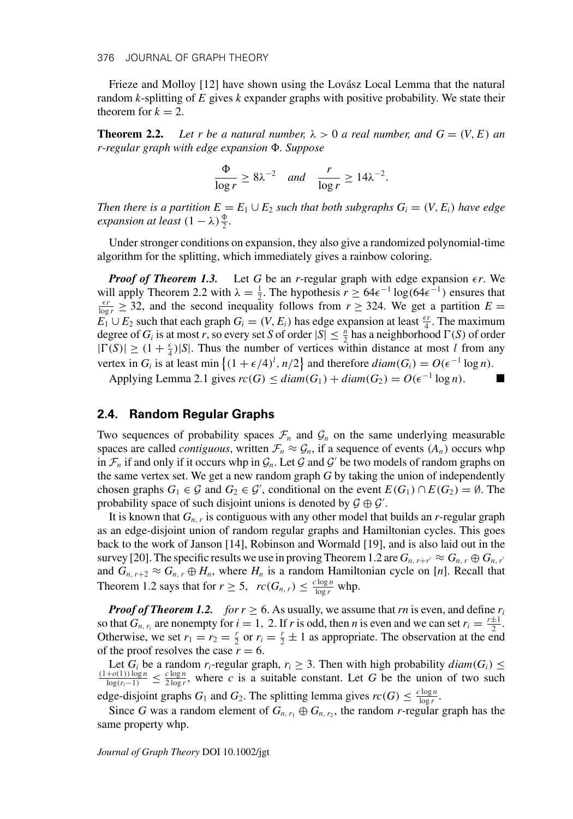Frieze and Molloy [12] have shown using the Lovász Local Lemma that the natural random *k*-splitting of *E* gives *k* expander graphs with positive probability. We state their theorem for  $k = 2$ .

**Theorem 2.2.** Let r be a natural number,  $\lambda > 0$  a real number, and  $G = (V, E)$  and *r-regular graph with edge expansion . Suppose*

$$
\frac{\Phi}{\log r} \ge 8\lambda^{-2} \quad and \quad \frac{r}{\log r} \ge 14\lambda^{-2}.
$$

*Then there is a partition*  $E = E_1 \cup E_2$  *such that both subgraphs*  $G_i = (V, E_i)$  *have edge expansion at least*  $(1 - \lambda) \frac{\Phi}{2}$ *.* 

Under stronger conditions on expansion, they also give a randomized polynomial-time algorithm for the splitting, which immediately gives a rainbow coloring.

*Proof of Theorem 1.3.* Let G be an *r*-regular graph with edge expansion  $\epsilon r$ . We will apply Theorem 2.2 with  $\lambda = \frac{1}{2}$ . The hypothesis  $r \ge 64\epsilon^{-1} \log(64\epsilon^{-1})$  ensures that  $\epsilon r \ge 32$  and the second inequality follows from  $r > 324$ . We get a partition  $F =$  $\frac{\epsilon r}{\log r} \geq 32$ , and the second inequality follows from  $r \geq 324$ . We get a partition  $E =$  $E_1 \cup E_2$  such that each graph  $G_i = (V, E_i)$  has edge expansion at least  $\frac{\epsilon r}{4}$ . The maximum degree of *G<sub>i</sub>* is at most *r*, so every set *S* of order  $|S| \leq \frac{n}{2}$  has a neighborhood  $\Gamma(S)$  of order  $|\Gamma(S)| \geq (1 + \frac{\epsilon}{4})|S|$ . Thus the number of vertices within distance at most *l* from any vertex in  $G_i$  is at least min  $\{(1 + \epsilon/4)^l, n/2\}$  and therefore  $diam(G_i) = O(\epsilon^{-1} \log n)$ .

Applying Lemma 2.1 gives  $rc(G) \leq diam(G_1) + diam(G_2) = O(\epsilon^{-1} \log n)$ .

# **2.4. Random Regular Graphs**

Two sequences of probability spaces  $\mathcal{F}_n$  and  $\mathcal{G}_n$  on the same underlying measurable spaces are called *contiguous*, written  $\mathcal{F}_n \approx \mathcal{G}_n$ , if a sequence of events  $(A_n)$  occurs whp in  $\mathcal{F}_n$  if and only if it occurs whp in  $\mathcal{G}_n$ . Let  $\mathcal G$  and  $\mathcal G'$  be two models of random graphs on the same vertex set. We get a new random graph *G* by taking the union of independently chosen graphs  $G_1 \in \mathcal{G}$  and  $G_2 \in \mathcal{G}'$ , conditional on the event  $E(G_1) \cap E(G_2) = \emptyset$ . The probability space of such disjoint unions is denoted by  $\mathcal{G} \oplus \mathcal{G}'$ .

It is known that *Gn*,*<sup>r</sup>* is contiguous with any other model that builds an *r*-regular graph as an edge-disjoint union of random regular graphs and Hamiltonian cycles. This goes back to the work of Janson [14], Robinson and Wormald [19], and is also laid out in the survey [20]. The specific results we use in proving Theorem 1.2 are  $G_{n,r+r'} \approx G_{n,r} \oplus G_{n,r'}$ and  $G_{n, r+2} \approx G_{n, r} \oplus H_n$ , where  $H_n$  is a random Hamiltonian cycle on [*n*]. Recall that Theorem 1.2 says that for  $r \ge 5$ ,  $rc(G_{n,r}) \le \frac{c \log n}{\log r}$  whp.

*Proof of Theorem 1.2. for*  $r \ge 6$ *. As usually, we assume that rn is even, and define*  $r_i$ so that  $G_{n, r_i}$  are nonempty for  $i = 1, 2$ . If *r* is odd, then *n* is even and we can set  $r_i = \frac{r \pm 1}{2}$ . Otherwise, we set  $r_1 = r_2 = \frac{r}{2}$  or  $r_i = \frac{r}{2} \pm 1$  as appropriate. The observation at the end of the proof resolves the case  $r = 6$ .

Let  $G_i$  be a random  $r_i$ -regular graph,  $r_i \geq 3$ . Then with high probability  $diam(G_i) \leq$  $\frac{(1+o(1))\log n}{\log(r_i-1)}$  ≤  $\frac{c\log n}{2\log r}$ , where *c* is a suitable constant. Let *G* be the union of two such

edge-disjoint graphs  $G_1$  and  $G_2$ . The splitting lemma gives  $rc(G) \leq \frac{c \log n}{\log r}$ .

Since *G* was a random element of  $G_{n,r_1} \oplus G_{n,r_2}$ , the random *r*-regular graph has the same property whp.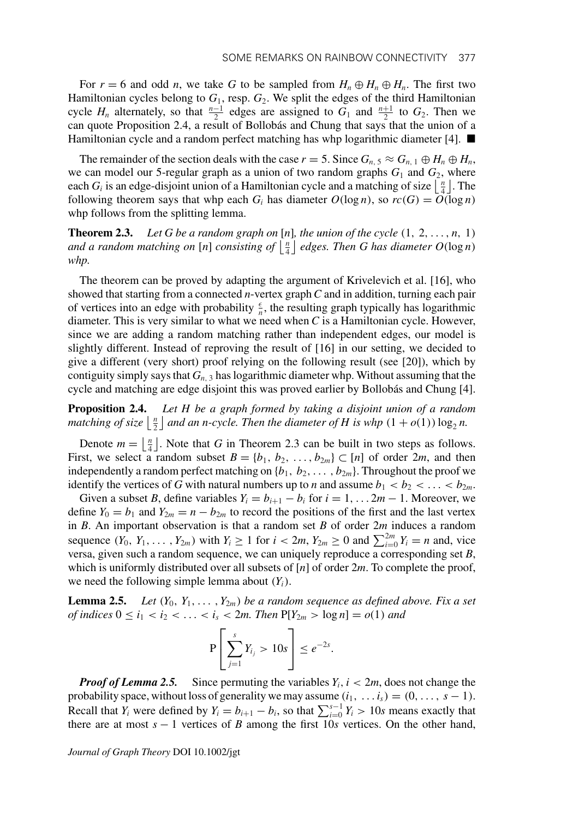For  $r = 6$  and odd *n*, we take G to be sampled from  $H_n \oplus H_n \oplus H_n$ . The first two Hamiltonian cycles belong to  $G_1$ , resp.  $G_2$ . We split the edges of the third Hamiltonian cycle  $H_n$  alternately, so that  $\frac{n-1}{2}$  edges are assigned to  $G_1$  and  $\frac{n+1}{2}$  to  $G_2$ . Then we can quote Proposition 2.4, a result of Bollobás and Chung that says that the union of a Hamiltonian cycle and a random perfect matching has whp logarithmic diameter [4].  $\blacksquare$ 

The remainder of the section deals with the case  $r = 5$ . Since  $G_{n,5} \approx G_{n,1} \oplus H_n \oplus H_n$ , we can model our 5-regular graph as a union of two random graphs *G*<sup>1</sup> and *G*2, where each *G<sub>i</sub>* is an edge-disjoint union of a Hamiltonian cycle and a matching of size  $\lfloor \frac{n}{4} \rfloor$ . The following theorem says that whp each  $G_i$  has diameter  $O(\log n)$ , so  $rc(G) = O(\log n)$ whp follows from the splitting lemma.

**Theorem 2.3.** Let G be a random graph on [n], the union of the cycle  $(1, 2, \ldots, n, 1)$ and a random matching on [n] consisting of  $\left[\frac{n}{4}\right]$  edges. Then G has diameter  $O(\log n)$ *whp.*

The theorem can be proved by adapting the argument of Krivelevich et al. [16], who showed that starting from a connected *n*-vertex graph*C* and in addition, turning each pair of vertices into an edge with probability  $\frac{\epsilon}{n}$ , the resulting graph typically has logarithmic diameter. This is very similar to what we need when *C* is a Hamiltonian cycle. However, since we are adding a random matching rather than independent edges, our model is slightly different. Instead of reproving the result of [16] in our setting, we decided to give a different (very short) proof relying on the following result (see [20]), which by contiguity simply says that *Gn*, <sup>3</sup> has logarithmic diameter whp. Without assuming that the cycle and matching are edge disjoint this was proved earlier by Bollobás and Chung [4].

**Proposition 2.4.** *Let H be a graph formed by taking a disjoint union of a random matching of size*  $\lfloor \frac{n}{2} \rfloor$  *and an n-cycle. Then the diameter of H is whp*  $(1 + o(1)) \log_2 n$ .

Denote  $m = \lfloor \frac{n}{4} \rfloor$ . Note that *G* in Theorem 2.3 can be built in two steps as follows. First, we select a random subset  $B = \{b_1, b_2, \ldots, b_{2m}\} \subset [n]$  of order 2*m*, and then independently a random perfect matching on  $\{b_1, b_2, \ldots, b_{2m}\}$ . Throughout the proof we identify the vertices of *G* with natural numbers up to *n* and assume  $b_1 < b_2 < \ldots < b_{2m}$ .

Given a subset *B*, define variables  $Y_i = b_{i+1} - b_i$  for  $i = 1, \ldots, 2m - 1$ . Moreover, we define  $Y_0 = b_1$  and  $Y_{2m} = n - b_{2m}$  to record the positions of the first and the last vertex in *B*. An important observation is that a random set *B* of order 2*m* induces a random sequence  $(Y_0, Y_1, \ldots, Y_{2m})$  with  $Y_i \ge 1$  for  $i < 2m, Y_{2m} \ge 0$  and  $\sum_{i=0}^{2m} Y_i = n$  and, vice versa, given such a random sequence, we can uniquely reproduce a corresponding set *B*, which is uniformly distributed over all subsets of [*n*] of order 2*m*. To complete the proof, we need the following simple lemma about  $(Y_i)$ .

**Lemma 2.5.** *Let*  $(Y_0, Y_1, \ldots, Y_{2m})$  *be a random sequence as defined above. Fix a set of indices*  $0 \le i_1 < i_2 < \ldots < i_s < 2m$ . Then  $P[Y_{2m} > log n] = o(1)$  and

$$
P\left[\sum_{j=1}^s Y_{i_j} > 10s\right] \leq e^{-2s}.
$$

*Proof of Lemma 2.5.* Since permuting the variables  $Y_i$ ,  $i < 2m$ , does not change the probability space, without loss of generality we may assume  $(i_1, \ldots i_s) = (0, \ldots, s - 1)$ . Recall that *Y<sub>i</sub>* were defined by  $Y_i = b_{i+1} - b_i$ , so that  $\sum_{i=0}^{s-1} Y_i > 10s$  means exactly that there are at most *s* − 1 vertices of *B* among the first 10*s* vertices. On the other hand,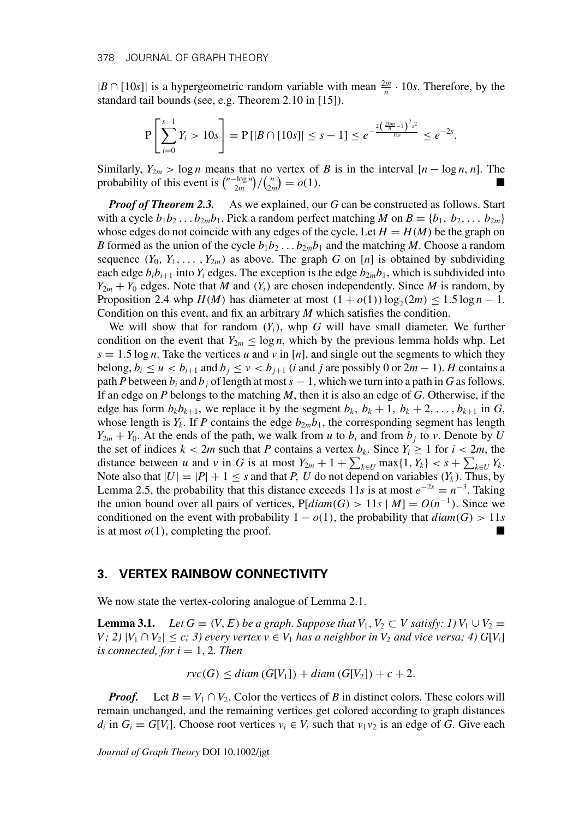$|B \cap [10s]|$  is a hypergeometric random variable with mean  $\frac{2m}{n} \cdot 10s$ . Therefore, by the standard tail bounds (see, e.g. Theorem 2.10 in [15]).

$$
\mathbf{P}\left[\sum_{i=0}^{s-1} Y_i > 10s\right] = \mathbf{P}\left[|B \cap [10s]| \leq s-1\right] \leq e^{-\frac{2\left(\frac{20m}{n}-1\right)^2 s^2}{10s}} \leq e^{-2s}.
$$

Similarly,  $Y_{2m} > \log n$  means that no vertex of *B* is in the interval  $[n - \log n, n]$ . The probability of this event is  $\binom{n-\log n}{2m} / \binom{n}{2m} = o(1)$ .

*Proof of Theorem 2.3.* As we explained, our *G* can be constructed as follows. Start with a cycle  $b_1b_2 \ldots b_{2m}b_1$ . Pick a random perfect matching *M* on  $B = \{b_1, b_2, \ldots b_{2m}\}$ whose edges do not coincide with any edges of the cycle. Let  $H = H(M)$  be the graph on *B* formed as the union of the cycle  $b_1b_2 \ldots b_{2m}b_1$  and the matching *M*. Choose a random sequence  $(Y_0, Y_1, \ldots, Y_{2m})$  as above. The graph *G* on [*n*] is obtained by subdividing each edge  $b_i b_{i+1}$  into  $Y_i$  edges. The exception is the edge  $b_{2m} b_1$ , which is subdivided into  $Y_{2m} + Y_0$  edges. Note that *M* and  $(Y_i)$  are chosen independently. Since *M* is random, by Proposition 2.4 whp  $H(M)$  has diameter at most  $(1 + o(1)) \log_2(2m) \le 1.5 \log n - 1$ . Condition on this event, and fix an arbitrary *M* which satisfies the condition.

We will show that for random  $(Y_i)$ , whp  $G$  will have small diameter. We further condition on the event that  $Y_{2m} \leq \log n$ , which by the previous lemma holds whp. Let  $s = 1.5 \log n$ . Take the vertices *u* and *v* in [*n*], and single out the segments to which they belong,  $b_i \le u < b_{i+1}$  and  $b_j \le v < b_{j+1}$  (*i* and *j* are possibly 0 or 2*m* − 1). *H* contains a path *P* between  $b_i$  and  $b_j$  of length at most  $s - 1$ , which we turn into a path in *G* as follows. If an edge on *P* belongs to the matching *M*, then it is also an edge of *G*. Otherwise, if the edge has form  $b_k b_{k+1}$ , we replace it by the segment  $b_k$ ,  $b_k + 1$ ,  $b_k + 2, \ldots, b_{k+1}$  in *G*, whose length is  $Y_k$ . If *P* contains the edge  $b_{2m}b_1$ , the corresponding segment has length  $Y_{2m} + Y_0$ . At the ends of the path, we walk from *u* to  $b_i$  and from  $b_j$  to *v*. Denote by *U* the set of indices  $k < 2m$  such that *P* contains a vertex  $b_k$ . Since  $Y_i \ge 1$  for  $i < 2m$ , the distance between *u* and *v* in *G* is at most  $Y_{2m} + 1 + \sum_{k \in U} \max\{1, Y_k\} < s + \sum_{k \in U} Y_k$ . Note also that  $|U| = |P| + 1 \leq s$  and that *P*, *U* do not depend on variables  $(Y_k)$ . Thus, by Lemma 2.5, the probability that this distance exceeds 11*s* is at most  $e^{-2s} = n^{-3}$ . Taking the union bound over all pairs of vertices,  $P[diam(G) > 11s | M] = O(n^{-1})$ . Since we conditioned on the event with probability  $1 - o(1)$ , the probability that  $diam(G) > 11s$ is at most  $o(1)$ , completing the proof.

#### **3. VERTEX RAINBOW CONNECTIVITY**

We now state the vertex-coloring analogue of Lemma 2.1.

**Lemma 3.1.** *Let*  $G = (V, E)$  *be a graph. Suppose that*  $V_1, V_2 \subset V$  *satisfy: 1)*  $V_1 \cup V_2 =$ *V*; 2)  $|V_1 \cap V_2| \leq c$ ; 3) every vertex  $v \in V_1$  has a neighbor in  $V_2$  and vice versa; 4)  $G[V_i]$ *<i>s* connected, for *<i>. Then* 

 $rvc(G) \leq diam(G[V_1]) + diam(G[V_2]) + c + 2.$ 

*Proof.* Let  $B = V_1 \cap V_2$ . Color the vertices of *B* in distinct colors. These colors will remain unchanged, and the remaining vertices get colored according to graph distances *d<sub>i</sub>* in  $G_i = G[V_i]$ . Choose root vertices  $v_i \in V_i$  such that  $v_1v_2$  is an edge of *G*. Give each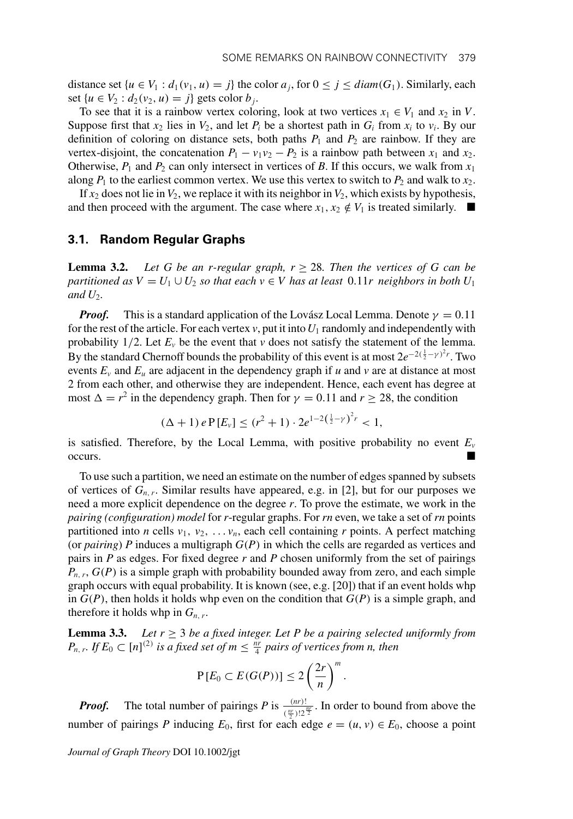distance set  $\{u \in V_1 : d_1(v_1, u) = j\}$  the color  $a_j$ , for  $0 \le j \le diam(G_1)$ . Similarly, each set {*u* ∈ *V*<sub>2</sub> : *d*<sub>2</sub>(*v*<sub>2</sub>, *u*) = *j*} gets color *b<sub>j</sub>*.

To see that it is a rainbow vertex coloring, look at two vertices  $x_1 \in V_1$  and  $x_2$  in *V*. Suppose first that  $x_2$  lies in  $V_2$ , and let  $P_i$  be a shortest path in  $G_i$  from  $x_i$  to  $v_i$ . By our definition of coloring on distance sets, both paths  $P_1$  and  $P_2$  are rainbow. If they are vertex-disjoint, the concatenation  $P_1 - v_1v_2 - P_2$  is a rainbow path between  $x_1$  and  $x_2$ . Otherwise,  $P_1$  and  $P_2$  can only intersect in vertices of *B*. If this occurs, we walk from  $x_1$ along  $P_1$  to the earliest common vertex. We use this vertex to switch to  $P_2$  and walk to  $x_2$ .

If  $x_2$  does not lie in  $V_2$ , we replace it with its neighbor in  $V_2$ , which exists by hypothesis, and then proceed with the argument. The case where  $x_1, x_2 \notin V_1$  is treated similarly.  $\blacksquare$ 

#### **3.1. Random Regular Graphs**

**Lemma 3.2.** *Let G be an r-regular graph,*  $r \geq 28$ *. Then the vertices of G can be partitioned as*  $V = U_1 \cup U_2$  *so that each*  $v \in V$  *has at least* 0.11*r neighbors in both*  $U_1$ and  $U_2$ .

*Proof.* This is a standard application of the Lovász Local Lemma. Denote  $\gamma = 0.11$ for the rest of the article. For each vertex  $v$ , put it into  $U_1$  randomly and independently with probability  $1/2$ . Let  $E_v$  be the event that  $v$  does not satisfy the statement of the lemma. By the standard Chernoff bounds the probability of this event is at most  $2e^{-2(\frac{1}{2}-\gamma)^2 r}$ . Two events  $E_v$  and  $E_u$  are adjacent in the dependency graph if *u* and *v* are at distance at most 2 from each other, and otherwise they are independent. Hence, each event has degree at most  $\Delta = r^2$  in the dependency graph. Then for  $\gamma = 0.11$  and  $r \ge 28$ , the condition

$$
(\Delta + 1) e P[E_v] \le (r^2 + 1) \cdot 2e^{1-2(\frac{1}{2} - \gamma)^2 r} < 1,
$$

is satisfied. Therefore, by the Local Lemma, with positive probability no event  $E_v$ occurs.

To use such a partition, we need an estimate on the number of edges spanned by subsets of vertices of  $G_{n,r}$ . Similar results have appeared, e.g. in [2], but for our purposes we need a more explicit dependence on the degree *r*. To prove the estimate, we work in the *pairing (configuration) model* for *r*-regular graphs. For *rn* even, we take a set of *rn* points partitioned into *n* cells  $v_1$ ,  $v_2$ , ...  $v_n$ , each cell containing *r* points. A perfect matching (or *pairing*) *P* induces a multigraph *G*(*P*) in which the cells are regarded as vertices and pairs in *P* as edges. For fixed degree *r* and *P* chosen uniformly from the set of pairings  $P_{n,r}$ ,  $G(P)$  is a simple graph with probability bounded away from zero, and each simple graph occurs with equal probability. It is known (see, e.g. [20]) that if an event holds whp in  $G(P)$ , then holds it holds whp even on the condition that  $G(P)$  is a simple graph, and therefore it holds whp in  $G_{n,r}$ .

**Lemma 3.3.** *Let*  $r \geq 3$  *be a fixed integer. Let* P *be a pairing selected uniformly from*  $P_{n,r}$ . If  $E_0 \subset [n]^{(2)}$  *is a fixed set of m*  $\leq \frac{nr}{4}$  *pairs of vertices from n, then* 

$$
\mathbf{P}[E_0 \subset E(G(P))] \leq 2\left(\frac{2r}{n}\right)^m.
$$

*Proof.* The total number of pairings *P* is  $\frac{(nr)!}{(\frac{nr}{2})!2^{\frac{m}{2}}}$ . In order to bound from above the number of pairings *P* inducing  $E_0$ , first for each edge  $e = (u, v) \in E_0$ , choose a point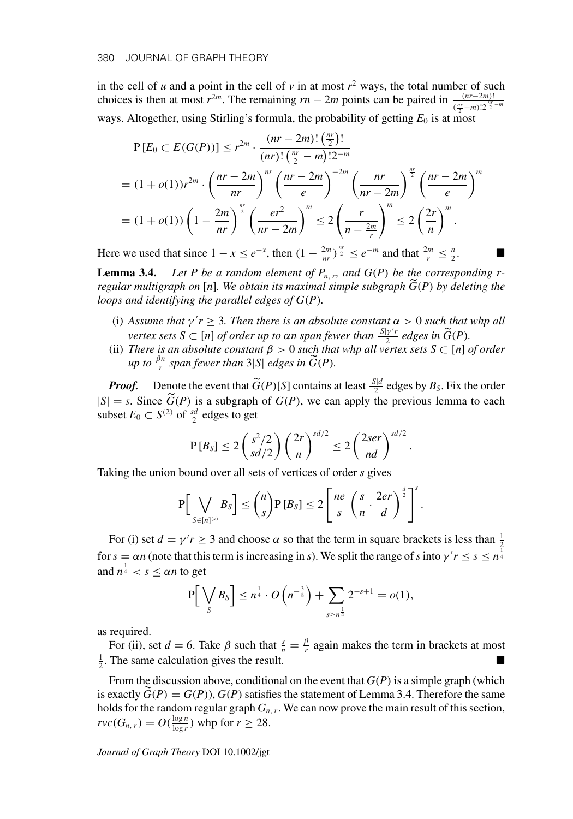in the cell of  $u$  and a point in the cell of  $v$  in at most  $r^2$  ways, the total number of such choices is then at most  $r^{2m}$ . The remaining  $rn - 2m$  points can be paired in  $\frac{(nr - 2m)!}{(\frac{nr}{2} - m)! \cdot 2^{\frac{m}{2} - m}}$ ways. Altogether, using Stirling's formula, the probability of getting  $E_0$  is at most

$$
P[E_0 \subset E(G(P))] \le r^{2m} \cdot \frac{(nr - 2m)! \left(\frac{nr}{2}\right)!}{(nr)! \left(\frac{nr}{2} - m\right)! 2^{-m}}
$$
  
=  $(1 + o(1))r^{2m} \cdot \left(\frac{nr - 2m}{nr}\right)^{nr} \left(\frac{nr - 2m}{e}\right)^{-2m} \left(\frac{nr}{nr - 2m}\right)^{\frac{nr}{2}} \left(\frac{nr - 2m}{e}\right)^{m}$   
=  $(1 + o(1)) \left(1 - \frac{2m}{nr}\right)^{\frac{nr}{2}} \left(\frac{er^2}{nr - 2m}\right)^m \le 2 \left(\frac{r}{n - \frac{2m}{r}}\right)^m \le 2 \left(\frac{2r}{n}\right)^m$ .

Here we used that since  $1 - x \le e^{-x}$ , then  $\left(1 - \frac{2m}{nr}\right)^{\frac{nr}{2}} \le e^{-m}$  and that  $\frac{2m}{r} \le \frac{n}{2}$ .

**Lemma 3.4.** Let P be a random element of  $P_{n,r}$ , and  $G(P)$  be the corresponding r*regular multigraph on* [*n*]*. We obtain its maximal simple subgraph G* (*P*) *by deleting the loops and identifying the parallel edges of G*(*P*)*.*

- (i) Assume that  $\gamma' r \geq 3$ . Then there is an absolute constant  $\alpha > 0$  such that whp all *vertex sets*  $S \subset [n]$  *of order up to*  $\alpha n$  *span fewer than*  $\frac{|S| \gamma' r}{2}$  *edges in*  $\widetilde{G}(P)$ *.*
- (ii) *There is an absolute constant*  $\beta > 0$  *such that whp all vertex sets*  $S \subset [n]$  *of order up to*  $\frac{\beta n}{r}$  *span fewer than* 3|*S*| *edges in*  $\widetilde{G}(P)$ *.*

*Proof.* Denote the event that  $\widetilde{G}(P)[S]$  contains at least  $\frac{|S|d}{2}$  edges by  $B_S$ . Fix the order  $|S| = s$ . Since  $G(P)$  is a subgraph of  $G(P)$ , we can apply the previous lemma to each subset  $E_0 \subset S^{(2)}$  of  $\frac{sd}{2}$  edges to get

$$
P[B_S] \le 2\left(\frac{s^2/2}{sd/2}\right)\left(\frac{2r}{n}\right)^{sd/2} \le 2\left(\frac{2ser}{nd}\right)^{sd/2}
$$

.

Taking the union bound over all sets of vertices of order *s* gives

$$
\mathbf{P}\Big[\bigvee_{S\in[n]^{(s)}}B_S\Big]\leq {n\choose s}\mathbf{P}\left[B_S\right]\leq 2\Bigg[\frac{ne}{s}\left(\frac{s}{n}\cdot\frac{2er}{d}\right)^{\frac{d}{2}}\Bigg]^s.
$$

For (i) set  $d = \gamma' r \geq 3$  and choose  $\alpha$  so that the term in square brackets is less than  $\frac{1}{2}$ for  $s = \alpha n$  (note that this term is increasing in *s*). We split the range of *s* into  $\gamma' r \le s \le n^{\frac{1}{4}}$ and  $n^{\frac{1}{4}} < s \leq \alpha n$  to get

$$
P\left[\bigvee_{S} B_{S}\right] \leq n^{\frac{1}{4}} \cdot O\left(n^{-\frac{3}{8}}\right) + \sum_{s \geq n^{\frac{1}{4}}} 2^{-s+1} = o(1),
$$

as required.

For (ii), set  $d = 6$ . Take  $\beta$  such that  $\frac{s}{n} = \frac{\beta}{r}$  again makes the term in brackets at most  $\frac{1}{2}$ . The same calculation gives the result.

From the discussion above, conditional on the event that *G*(*P*) is a simple graph (which is exactly  $\hat{G}(P) = G(P)$ ,  $G(P)$  satisfies the statement of Lemma 3.4. Therefore the same holds for the random regular graph  $G_{n,r}$ . We can now prove the main result of this section,  $rvc(G_{n,r}) = O(\frac{\log n}{\log r})$  whp for  $r \ge 28$ .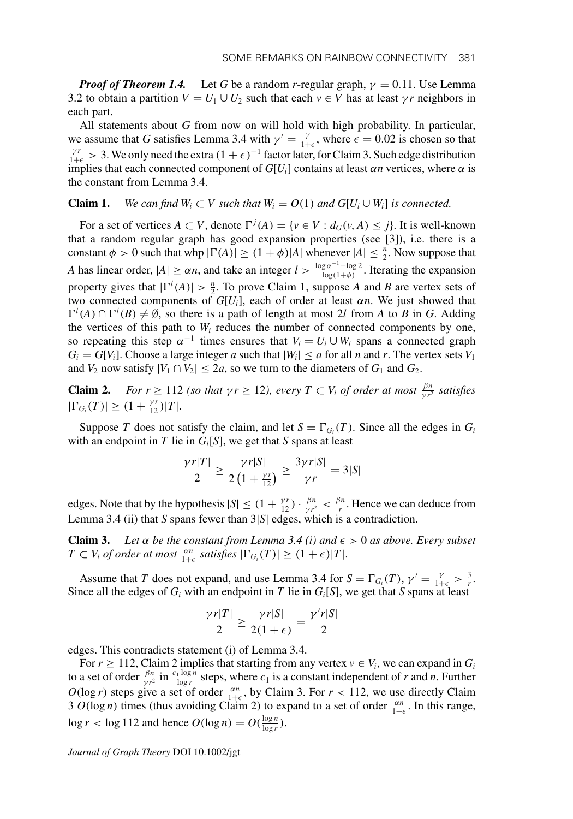*Proof of Theorem 1.4.* Let *G* be a random *r*-regular graph,  $\gamma = 0.11$ . Use Lemma 3.2 to obtain a partition  $V = U_1 \cup U_2$  such that each  $v \in V$  has at least  $\gamma r$  neighbors in each part.

All statements about *G* from now on will hold with high probability. In particular, we assume that *G* satisfies Lemma 3.4 with  $\gamma' = \frac{\gamma}{1+\epsilon}$ , where  $\epsilon = 0.02$  is chosen so that  $\frac{\gamma r}{1+\epsilon} > 3$ . We only need the extra  $(1+\epsilon)^{-1}$  factor later, for Claim 3. Such edge distribution implies that each connected component of  $G[U_i]$  contains at least  $\alpha n$  vertices, where  $\alpha$  is the constant from Lemma 3.4.

# **Claim 1.** *We can find W<sub>i</sub>*  $\subset V$  *such that W<sub>i</sub>* =  $O(1)$  *and G*[ $U_i \cup W_i$ ] *is connected.*

For a set of vertices  $A \subset V$ , denote  $\Gamma^{j}(A) = \{v \in V : d_G(v, A) \leq j\}$ . It is well-known that a random regular graph has good expansion properties (see [3]), i.e. there is a constant  $\phi > 0$  such that whp  $|\Gamma(A)| \ge (1 + \phi)|A|$  whenever  $|A| \le \frac{n}{2}$ . Now suppose that *A* has linear order,  $|A| \ge \alpha n$ , and take an integer  $l > \frac{\log \alpha^{-1} - \log 2}{\log(1+\phi)}$ . Iterating the expansion property gives that  $|\Gamma^l(A)| > \frac{n}{2}$ . To prove Claim 1, suppose *A* and *B* are vertex sets of two connected components of  $G[U_i]$ , each of order at least  $\alpha n$ . We just showed that  $\Gamma^l(A) \cap \Gamma^l(B) \neq \emptyset$ , so there is a path of length at most 2*l* from *A* to *B* in *G*. Adding the vertices of this path to  $W_i$  reduces the number of connected components by one, so repeating this step  $\alpha^{-1}$  times ensures that  $V_i = U_i \cup W_i$  spans a connected graph  $G_i = G[V_i]$ . Choose a large integer *a* such that  $|W_i| \le a$  for all *n* and *r*. The vertex sets  $V_1$ and  $V_2$  now satisfy  $|V_1 \cap V_2| \le 2a$ , so we turn to the diameters of  $G_1$  and  $G_2$ .

**Claim 2.** *For r*  $\geq 112$  *(so that*  $\gamma r \geq 12$ *), every*  $T \subset V_i$  *of order at most*  $\frac{\beta n}{\gamma r^2}$  *satisfies*  $|\Gamma_{G_i}(T)| \geq (1 + \frac{\gamma r}{12})|T|.$ 

Suppose *T* does not satisfy the claim, and let  $S = \Gamma_{G_i}(T)$ . Since all the edges in  $G_i$ with an endpoint in *T* lie in  $G_i[S]$ , we get that *S* spans at least

$$
\frac{\gamma r|T|}{2} \ge \frac{\gamma r|S|}{2\left(1 + \frac{\gamma r}{12}\right)} \ge \frac{3\gamma r|S|}{\gamma r} = 3|S|
$$

edges. Note that by the hypothesis  $|S| \leq (1 + \frac{\gamma r}{12}) \cdot \frac{\beta n}{\gamma r^2} < \frac{\beta n}{r}$ . Hence we can deduce from Lemma 3.4 (ii) that *S* spans fewer than 3|*S*| edges, which is a contradiction.

**Claim 3.** Let  $\alpha$  be the constant from Lemma 3.4 (i) and  $\epsilon > 0$  as above. Every subset  $T \subset V_i$  *of order at most*  $\frac{\alpha n}{1+\epsilon}$  *satisfies*  $|\Gamma_{G_i}(T)| \geq (1+\epsilon)|T|$ .

Assume that *T* does not expand, and use Lemma 3.4 for  $S = \Gamma_{G_i}(T)$ ,  $\gamma' = \frac{\gamma}{1+\epsilon} > \frac{3}{r}$ . Since all the edges of  $G_i$  with an endpoint in *T* lie in  $G_i[S]$ , we get that *S* spans at least

$$
\frac{\gamma r|T|}{2} \ge \frac{\gamma r|S|}{2(1+\epsilon)} = \frac{\gamma' r|S|}{2}
$$

edges. This contradicts statement (i) of Lemma 3.4.

For  $r \geq 112$ , Claim 2 implies that starting from any vertex  $v \in V_i$ , we can expand in  $G_i$ to a set of order  $\frac{\beta n}{\gamma r^2}$  in  $\frac{c_1 \log n}{\log r}$  steps, where  $c_1$  is a constant independent of *r* and *n*. Further  $O(\log r)$  steps give a set of order  $\frac{\alpha n}{1+\epsilon}$ , by Claim 3. For  $r < 112$ , we use directly Claim 3  $O(\log n)$  times (thus avoiding Claim 2) to expand to a set of order  $\frac{\alpha n}{1+\epsilon}$ . In this range, log *r* < log 112 and hence  $O(\log n) = O(\frac{\log n}{\log r})$ .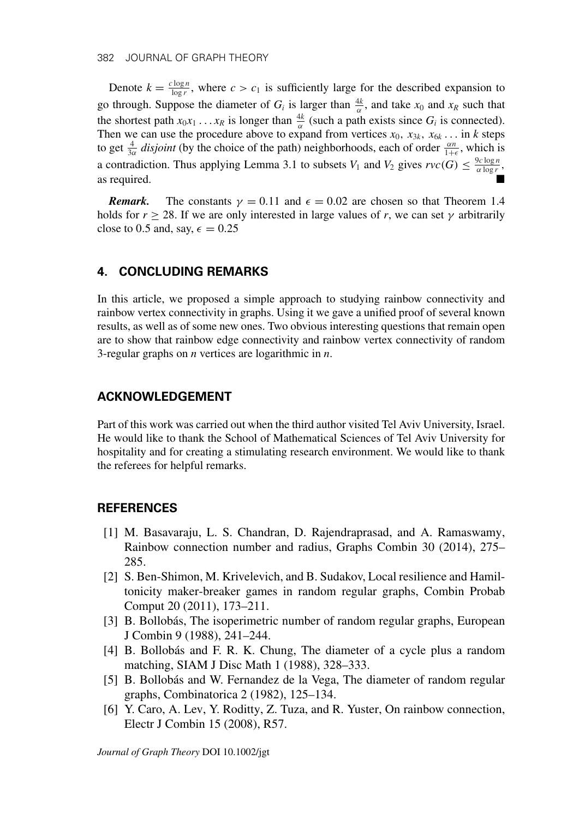Denote  $k = \frac{c \log n}{\log r}$ , where  $c > c_1$  is sufficiently large for the described expansion to go through. Suppose the diameter of  $G_i$  is larger than  $\frac{4k}{\alpha}$ , and take  $x_0$  and  $x_R$  such that the shortest path  $x_0x_1 \ldots x_R$  is longer than  $\frac{4k}{\alpha}$  (such a path exists since  $G_i$  is connected). Then we can use the procedure above to expand from vertices  $x_0, x_{3k}, x_{6k} \dots$  in *k* steps to get  $\frac{4}{3\alpha}$  *disjoint* (by the choice of the path) neighborhoods, each of order  $\frac{\alpha n}{1+\epsilon}$ , which is a contradiction. Thus applying Lemma 3.1 to subsets  $V_1$  and  $V_2$  gives  $rvc(G) \leq \frac{9c \log n}{\alpha \log r}$ , as required.

*Remark.* The constants  $\gamma = 0.11$  and  $\epsilon = 0.02$  are chosen so that Theorem 1.4 holds for  $r \ge 28$ . If we are only interested in large values of *r*, we can set  $\gamma$  arbitrarily close to 0.5 and, say,  $\epsilon = 0.25$ 

# **4. CONCLUDING REMARKS**

In this article, we proposed a simple approach to studying rainbow connectivity and rainbow vertex connectivity in graphs. Using it we gave a unified proof of several known results, as well as of some new ones. Two obvious interesting questions that remain open are to show that rainbow edge connectivity and rainbow vertex connectivity of random 3-regular graphs on *n* vertices are logarithmic in *n*.

# **ACKNOWLEDGEMENT**

Part of this work was carried out when the third author visited Tel Aviv University, Israel. He would like to thank the School of Mathematical Sciences of Tel Aviv University for hospitality and for creating a stimulating research environment. We would like to thank the referees for helpful remarks.

# **REFERENCES**

- [1] M. Basavaraju, L. S. Chandran, D. Rajendraprasad, and A. Ramaswamy, Rainbow connection number and radius, Graphs Combin 30 (2014), 275– 285.
- [2] S. Ben-Shimon, M. Krivelevich, and B. Sudakov, Local resilience and Hamiltonicity maker-breaker games in random regular graphs, Combin Probab Comput 20 (2011), 173–211.
- [3] B. Bollobás, The isoperimetric number of random regular graphs, European J Combin 9 (1988), 241–244.
- [4] B. Bollobás and F. R. K. Chung, The diameter of a cycle plus a random matching, SIAM J Disc Math 1 (1988), 328–333.
- [5] B. Bollobás and W. Fernandez de la Vega, The diameter of random regular graphs, Combinatorica 2 (1982), 125–134.
- [6] Y. Caro, A. Lev, Y. Roditty, Z. Tuza, and R. Yuster, On rainbow connection, Electr J Combin 15 (2008), R57.